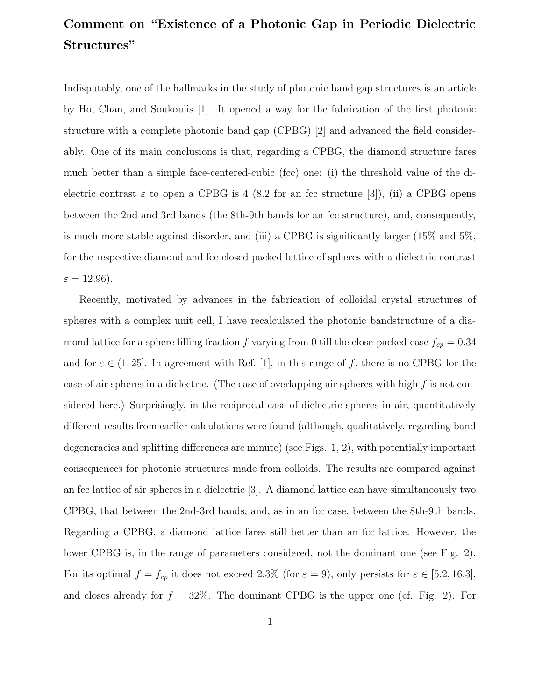## Comment on "Existence of a Photonic Gap in Periodic Dielectric Structures"

Indisputably, one of the hallmarks in the study of photonic band gap structures is an article by Ho, Chan, and Soukoulis [1]. It opened a way for the fabrication of the first photonic structure with a complete photonic band gap (CPBG) [2] and advanced the field considerably. One of its main conclusions is that, regarding a CPBG, the diamond structure fares much better than a simple face-centered-cubic (fcc) one: (i) the threshold value of the dielectric contrast  $\varepsilon$  to open a CPBG is 4 (8.2 for an fcc structure [3]), (ii) a CPBG opens between the 2nd and 3rd bands (the 8th-9th bands for an fcc structure), and, consequently, is much more stable against disorder, and (iii) a CPBG is significantly larger (15% and 5%, for the respective diamond and fcc closed packed lattice of spheres with a dielectric contrast  $\varepsilon = 12.96$ ).

Recently, motivated by advances in the fabrication of colloidal crystal structures of spheres with a complex unit cell, I have recalculated the photonic bandstructure of a diamond lattice for a sphere filling fraction f varying from 0 till the close-packed case  $f_{cp} = 0.34$ and for  $\varepsilon \in (1, 25]$ . In agreement with Ref. [1], in this range of f, there is no CPBG for the case of air spheres in a dielectric. (The case of overlapping air spheres with high  $f$  is not considered here.) Surprisingly, in the reciprocal case of dielectric spheres in air, quantitatively different results from earlier calculations were found (although, qualitatively, regarding band degeneracies and splitting differences are minute) (see Figs. 1, 2), with potentially important consequences for photonic structures made from colloids. The results are compared against an fcc lattice of air spheres in a dielectric [3]. A diamond lattice can have simultaneously two CPBG, that between the 2nd-3rd bands, and, as in an fcc case, between the 8th-9th bands. Regarding a CPBG, a diamond lattice fares still better than an fcc lattice. However, the lower CPBG is, in the range of parameters considered, not the dominant one (see Fig. 2). For its optimal  $f = f_{cp}$  it does not exceed 2.3% (for  $\varepsilon = 9$ ), only persists for  $\varepsilon \in [5.2, 16.3]$ , and closes already for  $f = 32\%$ . The dominant CPBG is the upper one (cf. Fig. 2). For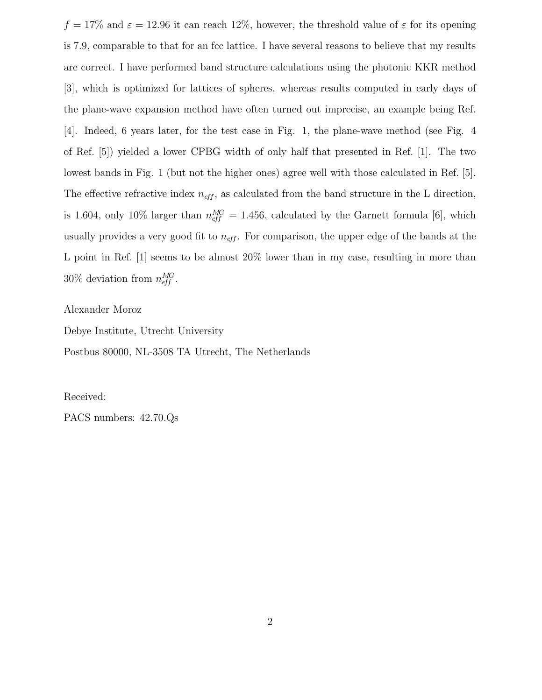$f = 17\%$  and  $\varepsilon = 12.96$  it can reach 12%, however, the threshold value of  $\varepsilon$  for its opening is 7.9, comparable to that for an fcc lattice. I have several reasons to believe that my results are correct. I have performed band structure calculations using the photonic KKR method [3], which is optimized for lattices of spheres, whereas results computed in early days of the plane-wave expansion method have often turned out imprecise, an example being Ref. [4]. Indeed, 6 years later, for the test case in Fig. 1, the plane-wave method (see Fig. 4 of Ref. [5]) yielded a lower CPBG width of only half that presented in Ref. [1]. The two lowest bands in Fig. 1 (but not the higher ones) agree well with those calculated in Ref. [5]. The effective refractive index  $n_{\text{eff}}$ , as calculated from the band structure in the L direction, is 1.604, only 10% larger than  $n_{\text{eff}}^{MG} = 1.456$ , calculated by the Garnett formula [6], which usually provides a very good fit to  $n_{\text{eff}}$ . For comparison, the upper edge of the bands at the L point in Ref. [1] seems to be almost 20% lower than in my case, resulting in more than 30% deviation from  $n_{\text{eff}}^{MG}$ .

Alexander Moroz

Debye Institute, Utrecht University

Postbus 80000, NL-3508 TA Utrecht, The Netherlands

Received:

PACS numbers: 42.70.Qs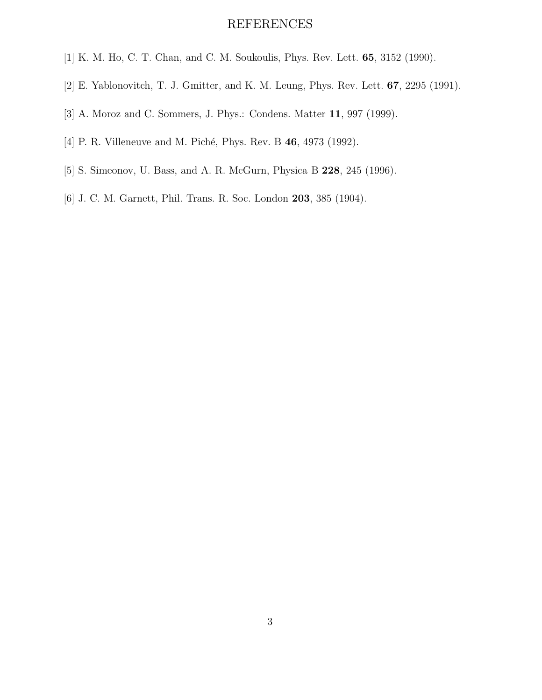## REFERENCES

- [1] K. M. Ho, C. T. Chan, and C. M. Soukoulis, Phys. Rev. Lett. 65, 3152 (1990).
- [2] E. Yablonovitch, T. J. Gmitter, and K. M. Leung, Phys. Rev. Lett. 67, 2295 (1991).
- [3] A. Moroz and C. Sommers, J. Phys.: Condens. Matter 11, 997 (1999).
- [4] P. R. Villeneuve and M. Piché, Phys. Rev. B 46, 4973 (1992).
- [5] S. Simeonov, U. Bass, and A. R. McGurn, Physica B 228, 245 (1996).
- [6] J. C. M. Garnett, Phil. Trans. R. Soc. London 203, 385 (1904).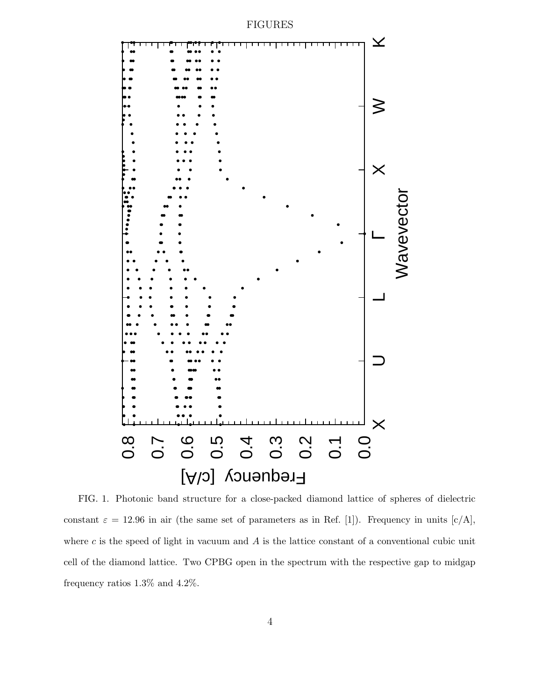

FIG. 1. Photonic band structure for a close-packed diamond lattice of spheres of dielectric constant  $\varepsilon = 12.96$  in air (the same set of parameters as in Ref. [1]). Frequency in units  $\left[\frac{c}{A}\right]$ , where  $c$  is the speed of light in vacuum and  $A$  is the lattice constant of a conventional cubic unit cell of the diamond lattice. Two CPBG open in the spectrum with the respective gap to midgap frequency ratios 1.3% and 4.2%.